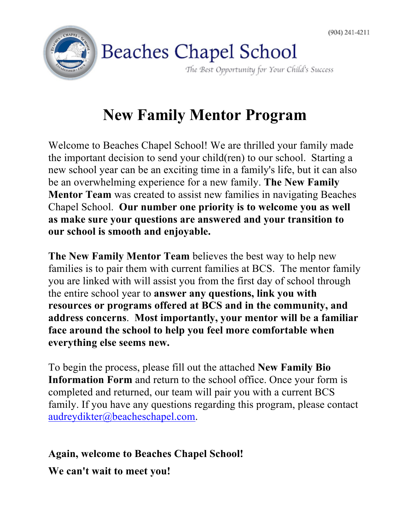

## **New Family Mentor Program**

Welcome to Beaches Chapel School! We are thrilled your family made the important decision to send your child(ren) to our school. Starting a new school year can be an exciting time in a family's life, but it can also be an overwhelming experience for a new family. **The New Family Mentor Team** was created to assist new families in navigating Beaches Chapel School. **Our number one priority is to welcome you as well as make sure your questions are answered and your transition to our school is smooth and enjoyable.**

**The New Family Mentor Team** believes the best way to help new families is to pair them with current families at BCS. The mentor family you are linked with will assist you from the first day of school through the entire school year to **answer any questions, link you with resources or programs offered at BCS and in the community, and address concerns**. **Most importantly, your mentor will be a familiar face around the school to help you feel more comfortable when everything else seems new.**

To begin the process, please fill out the attached **New Family Bio Information Form** and return to the school office. Once your form is completed and returned, our team will pair you with a current BCS family. If you have any questions regarding this program, please contact audreydikter@beacheschapel.com.

## **Again, welcome to Beaches Chapel School!**

**We can't wait to meet you!**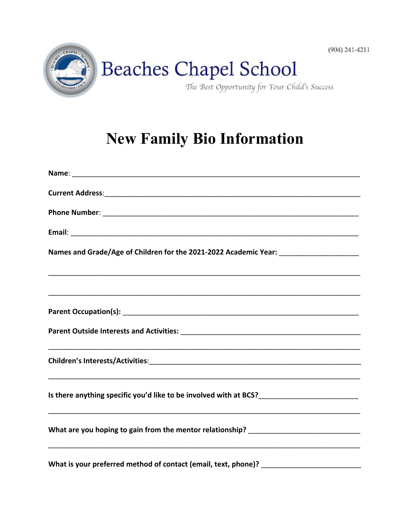

## **New Family Bio Information**

| Names and Grade/Age of Children for the 2021-2022 Academic Year: ________________                    |
|------------------------------------------------------------------------------------------------------|
|                                                                                                      |
|                                                                                                      |
|                                                                                                      |
|                                                                                                      |
| Is there anything specific you'd like to be involved with at BCS?___________________________________ |
| What are you hoping to gain from the mentor relationship? _______________________                    |
|                                                                                                      |

 $(904)$  241-4211